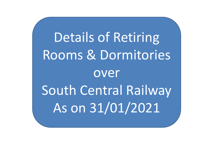Details of Retiring Rooms & Dormitories over South Central Railway As on 31/01/2021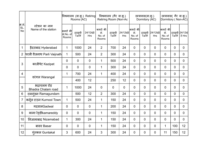|                              |                                            |                                | Rooms (AC)       | विश्रमालय (वा.कू.) Retiring | विश्रमालय (गैर वा.कू.)<br>Retiring Room (Non-Ac |                  |                  |                                    | छात्रावास(वा.कू.)<br>Dormitory (AC) | छात्रावास( गैर वा.कू.)<br>Dormitory (Non-AC) |                                    |                                     |                |
|------------------------------|--------------------------------------------|--------------------------------|------------------|-----------------------------|-------------------------------------------------|------------------|------------------|------------------------------------|-------------------------------------|----------------------------------------------|------------------------------------|-------------------------------------|----------------|
| क्र.सं.<br> SL.<br><b>No</b> | स्टेशन का नाम<br>Name of the station       | कमरों की<br>सं.No. of<br>Rooms | दरसूची<br>Tariff | 24/12घंटे<br>Hrs            | कमरों की<br>सं.<br>No. of<br>Rooms              | दरसूची<br>Tariff | 24/12घंटे<br>Hrs | कमरों की<br>सं.<br>No. of<br>Rooms |                                     | दरसूची 24/12घंटे<br>Tariff Hrs               | कमरों की<br>सं.<br>No. of<br>Rooms | दरसूची 24/12घं<br>  Tariff   टे Hrs |                |
|                              | हैदराबाद Hyderabad                         | -1                             | 1000             | 24                          | $\overline{2}$                                  | 700              | 24               | $\mathbf 0$                        | $\overline{0}$                      | $\overline{0}$                               | $\overline{0}$                     | $\mathbf 0$                         | $\overline{0}$ |
|                              | 2 परली वैजनाथ Parli Vaijnath               |                                | 500              | 24                          | $\overline{2}$                                  | 300              | 24               | $\mathbf 0$                        | $\overline{0}$                      | $\overline{0}$                               | $\overline{0}$                     | $\overline{0}$                      | $\overline{0}$ |
|                              |                                            | $\overline{0}$                 | $\overline{0}$   | $\overline{0}$              | 1                                               | 500              | 24               | $\mathbf 0$                        | $\overline{0}$                      | $\overline{0}$                               | $\overline{0}$                     | $\mathbf 0$                         | $\overline{0}$ |
| $\mathbf{3}$                 | काजीपेट Kazipet                            | $\overline{0}$                 | $\overline{0}$   | $\overline{0}$              | 1                                               | 300              | 24               | $\mathbf 0$                        | $\overline{0}$                      | $\overline{0}$                               | $\overline{0}$                     | $\mathbf{0}$                        | $\overline{0}$ |
| $\overline{4}$               |                                            |                                | 700              | 24                          | $\mathbf 1$                                     | 400              | 24               | $\overline{0}$                     | $\mathbf 0$                         | $\overline{0}$                               | $\overline{0}$                     | $\mathbf{0}$                        | $\mathbf 0$    |
|                              | वरंगल Warangal                             |                                | 400              | 12                          |                                                 | 250              | 12               | $\mathbf 0$                        | $\overline{0}$                      | $\overline{0}$                               | $\overline{0}$                     | $\mathbf 0$                         | $\overline{0}$ |
| $\overline{5}$               | भद्राचलम रोड़<br><b>Bhadra Chalam road</b> |                                | 1000             | 24                          | $\overline{0}$                                  | $\overline{0}$   | $\mathbf 0$      | $\overline{0}$                     | $\overline{0}$                      | $\overline{0}$                               | $\overline{0}$                     | $\overline{0}$                      | $\overline{0}$ |
| 6 <sup>1</sup>               | रामगुंडम Ramagundam                        |                                | 500              | 12                          | $\overline{2}$                                  | 300              | 24               | $\mathbf 0$                        | $\overline{0}$                      | $\overline{0}$                               | $\overline{0}$                     | $\overline{0}$                      | $\overline{0}$ |
| $\overline{7}$               | कर्नूल टाउन Kurnool Town                   | $\overline{1}$                 | 500              | 24                          | $\mathbf 1$                                     | 150              | 24               | $\mathbf 0$                        | $\mathbf 0$                         | $\overline{0}$                               | $\mathbf 0$                        | $\mathbf 0$                         | $\mathbf 0$    |
| 8                            | गदवालGadwal                                | $\overline{0}$                 | $\overline{0}$   | $\overline{0}$              | $\mathbf 1$                                     | 200              | 24               | $\mathbf 0$                        | $\overline{0}$                      | $\overline{0}$                               | $\overline{0}$                     | $\overline{0}$                      | $\overline{0}$ |
| $9\,$                        | कामा रेड़़डीkamareddy                      | $\overline{0}$                 | $\mathbf 0$      | $\overline{0}$              | $\mathbf 1$                                     | 150              | 24               | $\mathbf 0$                        | $\mathbf 0$                         | $\overline{0}$                               | $\mathbf 0$                        | $\overline{0}$                      | $\mathbf 0$    |
| 10                           | निजामाबाद Nizamabad                        | $\overline{1}$                 | 300              | 24                          | $\mathbf{1}$                                    | 150              | 24               | $\mathbf 0$                        | $\overline{0}$                      | $\overline{0}$                               | $\overline{0}$                     | $\overline{0}$                      | $\mathbf 0$    |
| 11                           | बासर Basar                                 | $\overline{0}$                 | $\mathbf 0$      | $\overline{0}$              | $\mathbf 1$                                     | 150              | 24               | $\mathbf 0$                        | $\overline{0}$                      | $\overline{0}$                               |                                    | 100                                 | 12             |
| 12                           | ग्ंतकल Guntakal                            | $\mathfrak{S}$                 | 600              | 24                          | 3                                               | 300              | 24               | $\pmb{0}$                          | $\pmb{0}$                           | $\overline{0}$                               | 11                                 | 150                                 | 12             |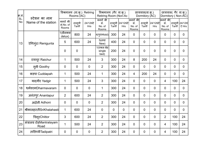| क्र.सं.<br>SL. |                                      |                                |                  | विश्रमालय (वा.क.) Retiring  <br>  Rooms (AC) | विश्रमालय (गैर वा.कू.)<br>Retiring Room (Non-Ac |                |                                    |                                    | छात्रावास(वा.क.)<br>Dormitory (AC) |                                |                                    | छात्रावास(गैर वा.कू.)<br>Dormitory (Non-AC) |                |
|----------------|--------------------------------------|--------------------------------|------------------|----------------------------------------------|-------------------------------------------------|----------------|------------------------------------|------------------------------------|------------------------------------|--------------------------------|------------------------------------|---------------------------------------------|----------------|
| No             | स्टेशन का नाम<br>Name of the station | कमरों की<br>सं.No. of<br>Rooms | दरसूची<br>Tariff | 24/12ਬੰਟੇ<br>Hrs                             | कमरों की<br>सं.<br>No. of<br>Rooms              |                | दरसूची 24/12घंटे  <br>Tariff   Hrs | कमरों की<br>सं.<br>No. of<br>Rooms |                                    | दरसूची 24/12घंटे<br>Tariff Hrs | कमरों की<br>सं.<br>No. of<br>Rooms | दरसूची 24/12घं<br>  Tariff   टे Hrs         |                |
|                |                                      | 1(डीलक्स<br>delux)             | 800              | 24                                           | 4(पुरानाold)                                    | 300            | 24                                 | $\mathbf 0$                        | $\mathbf 0$                        | $\overline{0}$                 | $\mathbf 0$                        | $\mathbf 0$                                 | $\mathbf 0$    |
| 13             | रेणिगुंटा Renigunta                  | 5                              | 600              | 24                                           | 5(नया<br>New)                                   | 400            | 24                                 | $\overline{0}$                     | $\overline{0}$                     | $\mathbf 0$                    | 0                                  | $\overline{0}$                              | $\mathbf 0$    |
|                |                                      | $\mathbf 0$                    | $\boldsymbol{0}$ |                                              | $1$ (एकल बेड <br>single<br>bed)                 | 200            | 24                                 | $\mathbf 0$                        | $\overline{0}$                     | $\overline{0}$                 | 0                                  | $\pmb{0}$                                   | $\mathbf 0$    |
| 14             | रायचूर Raichur                       | $\mathbf 1$                    | 500              | 24                                           | 3                                               | 300            | 24                                 | 8                                  | 200                                | 24                             | $\mathbf 0$                        | $\overline{0}$                              | $\mathbf 0$    |
| 15             | गूती Goothy                          | $\mathbf 0$                    | $\mathbf 0$      | $\overline{0}$                               | $\overline{2}$                                  | 300            | 24                                 | $\overline{0}$                     | $\overline{0}$                     | $\overline{0}$                 | $\overline{0}$                     | $\overline{0}$                              | $\overline{0}$ |
| 16             | कडपा Cuddapah                        | 1                              | 500              | 24                                           | 1                                               | 300            | 24                                 | $\overline{4}$                     | 200                                | 24                             | $\overline{0}$                     | $\overline{0}$                              | $\mathbf 0$    |
| 17             | यादगीर Yadgir                        | $\mathbf{1}$                   | 500              | 24                                           | 3                                               | 300            | 24                                 | $\mathbf 0$                        | $\overline{0}$                     | $\overline{0}$                 | 4                                  | 100                                         | 24             |
| 18             | धर्मवरमDharmavaram                   | $\overline{0}$                 | $\mathbf 0$      | $\mathbf 0$                                  | $\mathbf 1$                                     | 300            | 24                                 | $\mathbf 0$                        | $\overline{0}$                     | $\mathbf 0$                    | $\mathbf 0$                        | $\mathbf 0$                                 | $\overline{0}$ |
| 19             | अनंतपुर Anantapur                    | 2                              | 600              | 24                                           | $\overline{2}$                                  | 300            | 24                                 | $\overline{0}$                     | $\overline{0}$                     | $\overline{0}$                 | $\mathbf 0$                        | $\overline{0}$                              | $\overline{0}$ |
| 20             | अदोनी Adhoni                         | $\mathbf 0$                    | $\overline{0}$   | $\mathbf 0$                                  | 2 <sup>1</sup>                                  | 300            | 24                                 | $\overline{0}$                     | $\overline{0}$                     | $\overline{0}$                 | $\overline{0}$                     | $\overline{0}$                              | $\overline{0}$ |
|                | 21   श्रीकालहस्तीSriKhalahasti       | $\mathbf{1}$                   | 600              | 24                                           | $\overline{0}$                                  | $\overline{0}$ | $\mathbf 0$                        | $\overline{0}$                     | $\overline{0}$                     | $\overline{0}$                 | $\overline{0}$                     | $\overline{0}$                              | $\overline{0}$ |
| 22             | चितूरChittor                         | $\mathfrak{S}$                 | 600              | 24                                           | 2 <sup>1</sup>                                  | 300            | 24                                 | $\overline{0}$                     | $\overline{0}$                     | $\overline{0}$                 | 2 <sup>1</sup>                     | 100                                         | 24             |
| 23             | मंत्रालय रोडMantralayam<br>Road      | 1                              | 500              | 24                                           | 2 <sup>1</sup>                                  | 300            | 24                                 | $\overline{0}$                     | $\mathbf 0$                        | $\mathbf 0$                    | 4                                  | 100                                         | 24             |
| 24             | ताडिपत्री Tadipatri                  | $\mathbf 0$                    | $\mathbf 0$      | $\mathbf 0$                                  | $\overline{2}$                                  | 300            | 24                                 | $\mathbf 0$                        | $\overline{0}$                     | $\mathbf 0$                    | 4                                  | 100                                         | 24             |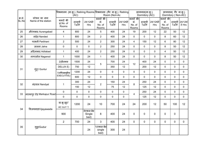|                  |                                      |                                |                  |                                                                                                                                                                                                                                                                                                                                                                                |                                    |                  |                  |                                     |                                    |                  | छात्रावास( गैर वा.क्.)<br>Dormitory ( Non-AC)                                                            |                                   |             |  |
|------------------|--------------------------------------|--------------------------------|------------------|--------------------------------------------------------------------------------------------------------------------------------------------------------------------------------------------------------------------------------------------------------------------------------------------------------------------------------------------------------------------------------|------------------------------------|------------------|------------------|-------------------------------------|------------------------------------|------------------|----------------------------------------------------------------------------------------------------------|-----------------------------------|-------------|--|
|                  |                                      |                                |                  |                                                                                                                                                                                                                                                                                                                                                                                |                                    |                  |                  |                                     | छात्रावास(वा.क.)<br>Dormitory (AC) |                  |                                                                                                          |                                   |             |  |
| क्र.सं.<br>SL.No | स्टेशन का नाम<br>Name of the station | कमरों की<br>सं.No. of<br>Rooms | दरसूची<br>Tariff | 24/12ਬੰਟੇ<br>Hrs                                                                                                                                                                                                                                                                                                                                                               | कमरों की<br>सं.<br>No. of<br>Rooms | दरसूची<br>Tariff | 24/12घंटे<br>Hrs | कमरों की <br>सं.<br>No. of<br>Rooms | दरसूची<br>Tariff                   | 24/12घंटे<br>Hrs | सं.<br>No. of<br>Rooms                                                                                   | दरसूची 24/12घं<br>Tariff   टे Hrs |             |  |
| 25               | औरंगाबाद Aurangabad                  | 4                              | 800              | 24                                                                                                                                                                                                                                                                                                                                                                             | $5\phantom{.0}$                    | 400              | 24               | 19                                  | 200                                | 12               | 22                                                                                                       | 50                                | 12          |  |
| 26               | नांदेड Nanded                        | $\mathbf{1}$                   | 800              | 24                                                                                                                                                                                                                                                                                                                                                                             | $\overline{2}$                     | 400              | 24               | $\mathbf 0$                         | $\overline{0}$                     | $\mathbf{0}$     | 8                                                                                                        | 60                                | 12          |  |
| 27               | परभनी Parbhani                       | $\overline{2}$                 | 500              | 24                                                                                                                                                                                                                                                                                                                                                                             | $\overline{2}$                     | 300              | 24               | 4                                   | 150                                | 12               | $6\phantom{.}$                                                                                           | 80                                | 12          |  |
| 28               | जालना Jalna                          | $\mathbf 0$                    | $\mathbf{0}$     | $\mathbf 0$                                                                                                                                                                                                                                                                                                                                                                    | $\overline{2}$                     | 250              | 24               | $\mathbf 0$                         | $\overline{0}$                     | $\mathbf{0}$     | 8                                                                                                        | 50                                | 12          |  |
| 29               | अदिलाबाद Adilabad                    | $\mathbf{1}$                   | 400              | 24                                                                                                                                                                                                                                                                                                                                                                             | $\overline{2}$                     | 250              | 24               | $\overline{0}$                      | $\mathbf 0$                        | $\mathbf{0}$     | $\overline{4}$                                                                                           | 50                                | 12          |  |
| 30               | नागरसोल Nagarsol                     | $\mathbf{1}$                   | 1000             | 24                                                                                                                                                                                                                                                                                                                                                                             | $\overline{\mathbf{1}}$            | 400              | 24               | 0                                   | $\overline{0}$                     | $\mathbf 0$      | 8                                                                                                        | 50                                | 12          |  |
|                  |                                      | 2(डीलक्स                       | 1500             | 24<br>400<br>24<br>700<br>24<br>12<br>$\sqrt{5}$<br>12<br>350<br>12<br>200<br>12<br>24<br>$\mathbf 0$<br>$\mathbf 0$<br>$\mathbf 0$<br>$\mathbf 0$<br>$\overline{0}$<br>$\mathbf{0}$<br>12<br>$\mathbf 0$<br>$\overline{0}$<br>$\mathbf 0$<br>$\mathbf 0$<br>$\mathbf 0$<br>$\mathbf{0}$<br>24<br>150<br>24<br>250<br>24<br>$\overline{2}$<br>8<br>12<br>12<br>12<br>125<br>75 | $\mathbf 0$                        | $\mathbf 0$      | $\mathbf 0$      |                                     |                                    |                  |                                                                                                          |                                   |             |  |
|                  |                                      | DELUX E)                       | 750              |                                                                                                                                                                                                                                                                                                                                                                                |                                    |                  |                  |                                     |                                    |                  | $\mathbf 0$                                                                                              | $\mathbf 0$                       | $\mathbf 0$ |  |
| 31               | गुंटूर Guntur                        | 7(एग्जिक्यूटिव                 | 1200             |                                                                                                                                                                                                                                                                                                                                                                                |                                    |                  |                  |                                     |                                    |                  | $\mathbf 0$                                                                                              | $\mathbf 0$                       | $\mathbf 0$ |  |
|                  |                                      | EXECUTIVE)                     | 600              |                                                                                                                                                                                                                                                                                                                                                                                |                                    |                  |                  |                                     |                                    |                  | 0                                                                                                        | $\mathbf 0$                       | $\mathbf 0$ |  |
|                  |                                      |                                | 300              |                                                                                                                                                                                                                                                                                                                                                                                |                                    |                  |                  |                                     |                                    |                  | $\overline{0}$                                                                                           | $\mathbf 0$                       | $\mathbf 0$ |  |
| $32\,$           | नंदयाल Nandyal                       | $\mathbf{1}$                   | 150              |                                                                                                                                                                                                                                                                                                                                                                                |                                    |                  |                  |                                     |                                    |                  | $\mathbf 0$                                                                                              | $\mathbf 0$                       | $\mathbf 0$ |  |
|                  |                                      | $\mathbf 0$                    | $\overline{0}$   | $\mathbf 0$                                                                                                                                                                                                                                                                                                                                                                    | $\mathbf 0$                        | $\mathbf{0}$     | $\mathbf 0$      |                                     | 250                                | 24               | $\mathbf 0$                                                                                              | $\mathbf 0$                       | $\mathbf 0$ |  |
| $33\,$           | मारकापुर रोड़ Markapur Road -        | $\pmb{0}$                      | $\overline{0}$   | $\mathbf 0$                                                                                                                                                                                                                                                                                                                                                                    | $\mathbf 0$                        | $\overline{0}$   | $\mathbf 0$      | 4                                   | 125                                | 12               | $\mathbf 0$                                                                                              | $\mathbf 0$                       | $\mathbf 0$ |  |
|                  |                                      | वा.कू.सूट/<br>AC SUIT 1        | 1200             | 24                                                                                                                                                                                                                                                                                                                                                                             | 10                                 | 700              | 24               | 24                                  | 200                                | 12               | 50                                                                                                       | 100                               | 12          |  |
| 34               | विजयवाडाVijayawada                   | 900                            |                  | $8\nu$ कल बेड<br>Single<br>bed)                                                                                                                                                                                                                                                                                                                                                | 8                                  | 400              | 24               | $\mathbf 0$                         | $\overline{0}$                     | $\mathbf 0$      | $\overline{\phantom{a}}$ कमरों की $\overline{\phantom{a}}$<br>$\mathbf 0$<br>$\mathbf 0$<br>$\mathbf{0}$ |                                   |             |  |
|                  |                                      | $2^{\circ}$                    | 700              | 24                                                                                                                                                                                                                                                                                                                                                                             | $\mathbf{3}$                       | 400              | 24               | $\mathbf 0$                         | $\mathbf 0$                        | $\mathbf 0$      |                                                                                                          | $\mathbf 0$                       | $\mathbf 0$ |  |
| 35               | गुडूरGudur                           |                                |                  | 24                                                                                                                                                                                                                                                                                                                                                                             | 1(एकल बेड<br>single<br>bed)        | 300              | 24               |                                     |                                    |                  |                                                                                                          |                                   |             |  |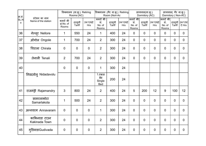|                                     |                                      |                                | विश्रमालय (वा.कू.) Retiring<br>Rooms (AC) |                  | विश्रमालय (गैर वा.कू.) Retiring<br>Room (Non-Ac |                  |                  | छात्रावास(वा.कू.)<br>Dormitory (AC)      |                |                                    | छात्रावास( गैर वा.कू.)<br>Dormitory ( Non-AC) |                                   |                |  |
|-------------------------------------|--------------------------------------|--------------------------------|-------------------------------------------|------------------|-------------------------------------------------|------------------|------------------|------------------------------------------|----------------|------------------------------------|-----------------------------------------------|-----------------------------------|----------------|--|
| क्र.सं. <br> SL.N<br>$\mathsf{o}\,$ | स्टेशन का नाम<br>Name of the station | कमरों की<br>सं.No. of<br>Rooms | दरसूची<br>Tariff                          | 24/12ਬੰਟੇ<br>Hrs | कमरों की<br>सं.<br>No. of<br>Rooms              | दरसूची<br>Tariff | 24/12घंटे<br>Hrs | कमरों की <br> -<br> -<br>No. of<br>Rooms |                | दरसूची 24/12घंटे  <br>Tariff   Hrs | कमरों की<br>सं.<br>No. of<br>Rooms            | दरसूची 24/12घं<br>Tariff   टे Hrs |                |  |
| 36                                  | नेल्लूर Nellore                      | -1                             | 550                                       | 24               | -1                                              | 400              | 24               | $\mathbf 0$                              | $\mathbf 0$    | $\overline{0}$                     | $\mathbf{0}$                                  | $\overline{0}$                    | $\overline{0}$ |  |
| 37                                  | ओंगोल Ongole                         | $\mathbf 1$                    | 700                                       | 24               | $\overline{2}$                                  | 300              | 24               | $\mathbf 0$                              | $\mathbf 0$    | $\mathbf 0$                        | $\mathbf 0$                                   | $\overline{0}$                    | $\mathbf 0$    |  |
| 38                                  | चिराला Chirala                       | $\boldsymbol{0}$               | $\mathbf 0$                               | $\overline{0}$   | $\overline{2}$                                  | 300              | 24               | $\mathbf 0$                              | $\overline{0}$ | $\mathbf 0$                        | $\overline{0}$                                | $\mathbf 0$                       | $\mathbf 0$    |  |
| 39                                  | तेनाली Tenali                        | $\overline{2}$                 | 700                                       | 24               | $\overline{2}$                                  | 300              | 24               | $\mathbf 0$                              | $\overline{0}$ | $\overline{0}$                     | $\overline{0}$                                | $\mathbf 0$                       | $\mathbf 0$    |  |
| 40                                  |                                      | $\mathbf 0$                    | $\mathbf 0$                               | $\mathbf 0$      | 1                                               | 300              | 24               |                                          |                |                                    |                                               |                                   |                |  |
|                                     | निडदवोलु Nidadavolu                  |                                |                                           |                  | 1.एकल<br>बेड<br>Single<br><b>Bed</b>            | 200              | 24               |                                          |                |                                    |                                               |                                   |                |  |
| 41                                  | राजमंड्री Rajamandry                 | $\mathfrak{S}$                 | 800                                       | 24               | $\overline{2}$                                  | 400              | 24               | 5                                        | 200            | 12                                 | 9                                             | 100                               | 12             |  |
| 42                                  | सामरलाकोटा<br>Samarlakota            | $\mathbf 1$                    | 500                                       | 24               | $\overline{2}$                                  | 300              | 24               | $\mathbf 0$                              | $\overline{0}$ | $\overline{0}$                     | $\overline{0}$                                | $\mathbf 0$                       | $\mathbf 0$    |  |
| 43                                  | अन्नवरम Annavaram                    | $\overline{0}$                 | $\mathbf 0$                               | $\mathbf 0$      | $\mathbf 1$                                     | 300              | 24               | $\overline{0}$                           | $\overline{0}$ | $\mathbf 0$                        | $\overline{0}$                                | $\mathbf 0$                       | $\mathbf 0$    |  |
| 44                                  | काकिनाडा टाउन<br>Kakinada Town       | $\mathbf 0$                    | $\boldsymbol{0}$                          | $\overline{0}$   | $\overline{2}$                                  | 300              | 24               | $\mathbf 0$                              | $\overline{0}$ | $\mathbf 0$                        | $\overline{0}$                                | $\mathbf 0$                       | $\mathbf 0$    |  |
| 45                                  | गुडिवाडाGudivada                     | $\overline{0}$                 | $\mathbf 0$                               | $\overline{0}$   | $\overline{2}$                                  | 300              | 24               | $\boldsymbol{0}$                         | $\mathbf 0$    | $\mathbf 0$                        | $\mathbf 0$                                   | $\mathbf 0$                       | $\mathbf 0$    |  |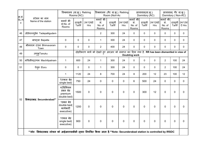|                                   |                                      | विश्रमालय (वा.कू.) Retiring<br>Rooms (AC)           |             |                                              | विश्रमालय (गैर वा.कू.) Retiring<br>Room (Non-Ac                                              |                  |                  | छात्रावास(वा.कू.)<br>Dormitory (AC)                          |                  |                  | छात्रावास( गैर वा.कू.)<br>Dormitory ( Non-AC)               |                                     |                  |  |
|-----------------------------------|--------------------------------------|-----------------------------------------------------|-------------|----------------------------------------------|----------------------------------------------------------------------------------------------|------------------|------------------|--------------------------------------------------------------|------------------|------------------|-------------------------------------------------------------|-------------------------------------|------------------|--|
| क्र.सं.<br>SL.N<br>$\mathsf{o}\,$ | स्टेशन का नाम<br>Name of the station | कमरों की<br>सं.No. of<br>Rooms                      |             | ' दरसूची   24/12घंटे  <br>  Tariff       Hrs | कमरों की<br>सं.<br>No. of<br>Rooms                                                           | दरसूची<br>Tariff | 24/12घंटे<br>Hrs | किमरों की $\overline{\phantom{a}}$<br>सं.<br>No. of<br>Rooms | दरसूची<br>Tariff | 24/12घंटे<br>Hrs | कमरों की $\overline{\phantom{a}}$<br>सं.<br>No. of<br>Rooms | दरसूची 24/12घं<br>  Tariff   टे Hrs |                  |  |
| 46                                | तोडेपल्ल्गुडेम Tadepalligudem        |                                                     |             |                                              | $\overline{2}$                                                                               | 300              | 24               | 0                                                            | $\mathbf 0$      | $\mathbf 0$      | $\mathbf{0}$                                                | $\mathbf 0$                         | $\mathbf 0$      |  |
| 47                                | बापट्ला Bapatla                      | $\overline{0}$                                      | $\mathbf 0$ | $\mathbf 0$                                  | -1                                                                                           | 300              | 24               | $\mathbf 0$                                                  | $\overline{0}$   | $\mathbf 0$      | $\mathbf 0$                                                 | $\mathbf 0$                         | $\mathbf 0$      |  |
| 48                                | भीमवरम टाउन Bhimavaram<br>Town       | $\mathbf 0$                                         | $\mathbf 0$ | $\mathbf 0$                                  | $2^{\circ}$                                                                                  | 400              | 24               | $\mathbf 0$                                                  | $\overline{0}$   | $\mathbf 0$      | $\Omega$                                                    | $\mathbf 0$                         | $\mathbf 0$      |  |
| 49                                | तणुकुTanuku                          |                                                     |             |                                              | दोहरीकरण कार्य को देखते हुए आरआर को समाप्त कर दिया गया है. RR has been dismantled in view of |                  |                  | <b>Doubling work</b>                                         |                  |                  |                                                             |                                     |                  |  |
| 50                                | मचिलीपट्टणम Machilipatnam            | $\overline{1}$                                      | 600         | 24                                           |                                                                                              | 300              | 24               | 0                                                            | $\overline{0}$   | $\mathbf 0$      | $\overline{2}$                                              | 100                                 | 24               |  |
| 51                                | ऐलुरू Eluru                          | $\overline{0}$                                      | $\mathbf 0$ | $\mathbf 0$                                  | -1                                                                                           | 300              | 24               | 0                                                            | $\overline{0}$   | $\mathbf 0$      | $2^{\circ}$                                                 | 100                                 | 24               |  |
|                                   |                                      | $\overline{1}$                                      | 1120        | 24                                           | 8                                                                                            | 700              | 24               | 8                                                            | 200              | 12               | 23                                                          | 100                                 | 12               |  |
|                                   |                                      | 1(एकल बेड<br>single bed)                            | 750         | 24                                           | $\mathbf 0$                                                                                  | 0                | $\mathbf 0$      | 6                                                            | 500              | 24               | $\mathbf 0$                                                 | $\pmb{0}$                           | $\mathbf 0$      |  |
|                                   |                                      | 4(प्रिमियम<br>डबल बेड<br>premium<br>double bed)     | 1500        | $\mathbf 0$                                  | $\mathbf 0$                                                                                  | 0                | $\pmb{0}$        | 0                                                            | 300              | 12               | $\mathbf 0$                                                 | 0                                   | $\mathbf 0$      |  |
| 52                                | सिकंदराबाद Secunderabad**            | 1ਤੁਕਕ ਕੇਤ<br>double bed(<br>कार्यकारी<br>executive) | 1200        | $\mathbf 0$                                  | $\mathbf 0$                                                                                  | 0                | $\mathbf 0$      | $\mathbf 0$                                                  | $\mathbf 0$      | $\mathbf 0$      | $\mathbf 0$                                                 | $\pmb{0}$                           | $\mathbf 0$      |  |
|                                   |                                      | 1एकल बेड<br>single bed(<br>executive)               | 900         | $\mathbf 0$                                  | $\mathbf 0$                                                                                  | $\mathbf 0$      | $\mathbf 0$      | 0                                                            | $\overline{0}$   | $\mathbf 0$      | $\mathbf 0$                                                 | $\mathbf 0$                         | $\boldsymbol{0}$ |  |